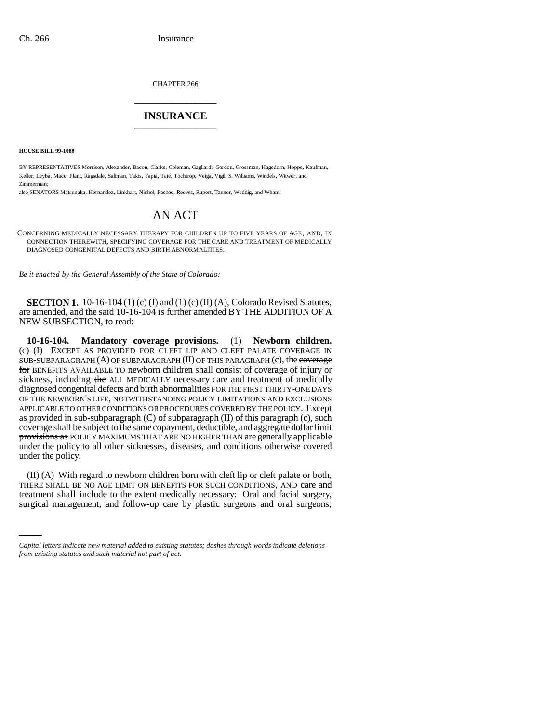CHAPTER 266 \_\_\_\_\_\_\_\_\_\_\_\_\_\_\_

## **INSURANCE** \_\_\_\_\_\_\_\_\_\_\_\_\_\_\_

**HOUSE BILL 99-1088**

BY REPRESENTATIVES Morrison, Alexander, Bacon, Clarke, Coleman, Gagliardi, Gordon, Grossman, Hagedorn, Hoppe, Kaufman, Keller, Leyba, Mace, Plant, Ragsdale, Saliman, Takis, Tapia, Tate, Tochtrop, Veiga, Vigil, S. Williams, Windels, Witwer, and Zimmerman;

also SENATORS Matsunaka, Hernandez, Linkhart, Nichol, Pascoe, Reeves, Rupert, Tanner, Weddig, and Wham.

## AN ACT

CONCERNING MEDICALLY NECESSARY THERAPY FOR CHILDREN UP TO FIVE YEARS OF AGE, AND, IN CONNECTION THEREWITH, SPECIFYING COVERAGE FOR THE CARE AND TREATMENT OF MEDICALLY DIAGNOSED CONGENITAL DEFECTS AND BIRTH ABNORMALITIES.

*Be it enacted by the General Assembly of the State of Colorado:*

**SECTION 1.** 10-16-104 (1) (c) (I) and (1) (c) (II) (A), Colorado Revised Statutes, are amended, and the said 10-16-104 is further amended BY THE ADDITION OF A NEW SUBSECTION, to read:

**10-16-104. Mandatory coverage provisions.** (1) **Newborn children.** (c) (I) EXCEPT AS PROVIDED FOR CLEFT LIP AND CLEFT PALATE COVERAGE IN SUB-SUBPARAGRAPH (A) OF SUBPARAGRAPH (II) OF THIS PARAGRAPH (c), the coverage for BENEFITS AVAILABLE TO newborn children shall consist of coverage of injury or sickness, including the ALL MEDICALLY necessary care and treatment of medically diagnosed congenital defects and birth abnormalities FOR THE FIRST THIRTY-ONE DAYS OF THE NEWBORN'S LIFE, NOTWITHSTANDING POLICY LIMITATIONS AND EXCLUSIONS APPLICABLE TO OTHER CONDITIONS OR PROCEDURES COVERED BY THE POLICY. Except as provided in sub-subparagraph (C) of subparagraph (II) of this paragraph (c), such coverage shall be subject to the same copayment, deductible, and aggregate dollar limit provisions as POLICY MAXIMUMS THAT ARE NO HIGHER THAN are generally applicable under the policy to all other sicknesses, diseases, and conditions otherwise covered under the policy.

THERE SHALL BE NO AGE LIMIT ON BENEFITS FOR SUCH CONDITIONS, AND care and tractional include to the automorphical process. (II) (A) With regard to newborn children born with cleft lip or cleft palate or both, treatment shall include to the extent medically necessary: Oral and facial surgery, surgical management, and follow-up care by plastic surgeons and oral surgeons;

*Capital letters indicate new material added to existing statutes; dashes through words indicate deletions from existing statutes and such material not part of act.*